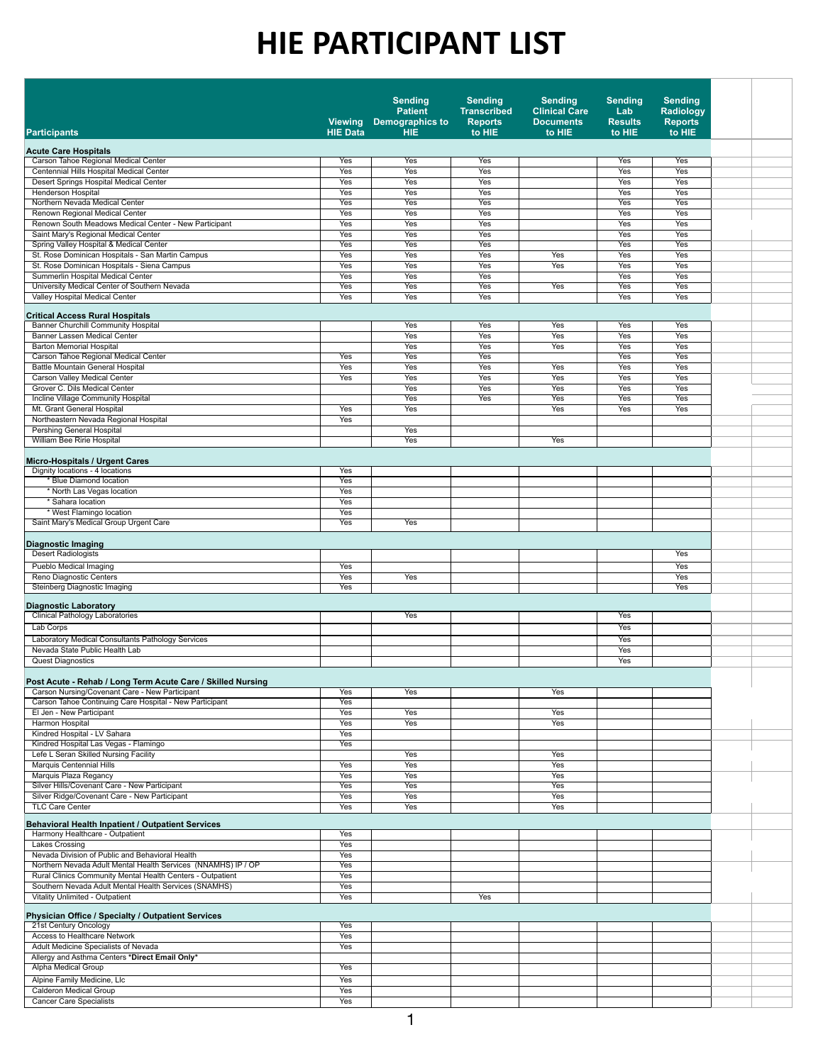| <b>Patient</b><br><b>Transcribed</b><br><b>Clinical Care</b><br><b>Radiology</b><br>Lab<br><b>Demographics to</b><br><b>Viewing</b><br><b>Reports</b><br><b>Documents</b><br><b>Results</b><br><b>Reports</b><br>to HIE<br>to HIE<br>to HIE<br><b>HIE Data</b><br><b>HIE</b><br>to HIE<br><b>Participants</b><br><b>Acute Care Hospitals</b><br><b>Carson Tahoe Regional Medical Center</b><br><b>Yes</b><br>Yes<br>Yes<br>Yes<br><b>Yes</b><br>Centennial Hills Hospital Medical Center<br><b>Yes</b><br>Yes<br>Yes<br>Yes<br><b>Yes</b><br><b>Desert Springs Hospital Medical Center</b><br>Yes<br>Yes<br>Yes<br>Yes<br>Yes<br><b>Henderson Hospital</b><br>Yes<br>Yes<br>Yes<br>Yes<br>Yes<br>Northern Nevada Medical Center<br><b>Yes</b><br><b>Yes</b><br>Yes<br>Yes<br>Yes<br>Renown Regional Medical Center<br>Yes<br>Yes<br>Yes<br>Yes<br><b>Yes</b><br>Renown South Meadows Medical Center - New Participant<br>Yes<br>Yes<br>Yes<br>Yes<br><b>Yes</b><br>Saint Mary's Regional Medical Center<br>Yes<br>Yes<br>Yes<br><b>Yes</b><br>Yes<br>Spring Valley Hospital & Medical Center<br>Yes<br>Yes<br>Yes<br><b>Yes</b><br>Yes<br>St. Rose Dominican Hospitals - San Martin Campus<br>Yes<br>Yes<br>Yes<br>Yes<br>Yes<br>Yes<br>St. Rose Dominican Hospitals - Siena Campus<br>Yes<br>Yes<br>Yes<br>Yes<br>Yes<br>Yes<br>Summerlin Hospital Medical Center<br>Yes<br><b>Yes</b><br><b>Yes</b><br>Yes<br><b>Yes</b><br>University Medical Center of Southern Nevada<br>Yes<br>Yes<br>Yes<br>Yes<br>Yes<br>Yes<br>Valley Hospital Medical Center<br>Yes<br>Yes<br>Yes<br>Yes<br><b>Yes</b><br><b>Critical Access Rural Hospitals</b><br><b>Banner Churchill Community Hospital</b><br>Yes<br>Yes<br>Yes<br>Yes<br>Yes<br><b>Banner Lassen Medical Center</b><br><b>Yes</b><br>Yes<br><b>Yes</b><br>Yes<br><b>Yes</b><br><b>Barton Memorial Hospital</b><br>Yes<br>Yes<br>Yes<br>Yes<br>Yes<br>Carson Tahoe Regional Medical Center<br>Yes<br>Yes<br>Yes<br>Yes<br><b>Yes</b><br><b>Battle Mountain General Hospital</b><br>Yes<br>Yes<br>Yes<br>Yes<br>Yes<br>Yes<br><b>Carson Valley Medical Center</b><br><b>Yes</b><br><b>Yes</b><br><b>Yes</b><br><b>Yes</b><br><b>Yes</b><br>Yes<br>Grover C. Dils Medical Center<br>Yes<br>Yes<br>Yes<br>Yes<br>Yes<br>Incline Village Community Hospital<br>Yes<br>Yes<br>Yes<br>Yes<br>Yes<br>Mt. Grant General Hospital<br>Yes<br>Yes<br>Yes<br>Yes<br>Yes<br>Northeastern Nevada Regional Hospital<br>Yes<br><b>Pershing General Hospital</b><br>Yes<br><b>William Bee Ririe Hospital</b><br>Yes<br>Yes<br><b>Micro-Hospitals / Urgent Cares</b><br>Dignity locations - 4 locations<br>Yes<br>* Blue Diamond location<br>Yes<br>* North Las Vegas location<br>Yes<br>* Sahara location<br><b>Yes</b><br>* West Flamingo location<br>Yes<br>Saint Mary's Medical Group Urgent Care<br>Yes<br><b>Yes</b><br>Diagnostic Imaging<br><b>Desert Radiologists</b><br>Yes<br><b>Pueblo Medical Imaging</b><br>Yes<br><b>Yes</b><br>Reno Diagnostic Centers<br>Yes<br>Yes<br>Yes<br><b>Steinberg Diagnostic Imaging</b><br><b>Yes</b><br>Yes<br><b>Diagnostic Laboratory</b><br><b>Clinical Pathology Laboratories</b><br>Yes<br>Yes<br>Lab Corps<br>Yes<br><b>Laboratory Medical Consultants Pathology Services</b><br>Yes<br>Nevada State Public Health Lab<br><b>Yes</b><br><b>Quest Diagnostics</b><br>Yes<br>Post Acute - Rehab / Long Term Acute Care / Skilled Nursing<br>Carson Nursing/Covenant Care - New Participant<br>Yes<br>Yes<br>Yes<br>Carson Tahoe Continuing Care Hospital - New Participant<br>Yes<br>El Jen - New Participant<br>Yes<br>Yes<br>Yes<br><b>Harmon Hospital</b><br><b>Yes</b><br>Yes<br>Yes<br>Kindred Hospital - LV Sahara<br>Yes<br>Kindred Hospital Las Vegas - Flamingo<br>Yes<br>Lefe L Seran Skilled Nursing Facility<br>Yes<br>Yes<br><b>Marquis Centennial Hills</b><br>Yes<br><b>Yes</b><br><b>Yes</b><br><b>Marquis Plaza Regancy</b><br><b>Yes</b><br><b>Yes</b><br>Yes<br>Silver Hills/Covenant Care - New Participant<br>Yes<br>Yes<br>Yes<br>Silver Ridge/Covenant Care - New Participant<br>Yes<br>Yes<br>Yes<br><b>TLC Care Center</b><br>Yes<br>Yes<br>Yes<br><b>Behavioral Health Inpatient / Outpatient Services</b><br>Harmony Healthcare - Outpatient<br>Yes<br><b>Lakes Crossing</b><br>Yes<br>Nevada Division of Public and Behavioral Health<br>Yes<br>Northern Nevada Adult Mental Health Services (NNAMHS) IP / OP<br>Yes<br>Rural Clinics Community Mental Health Centers - Outpatient<br>Yes<br>Southern Nevada Adult Mental Health Services (SNAMHS)<br>Yes<br><b>Vitality Unlimited - Outpatient</b><br>Yes<br>Yes<br><b>Physician Office / Specialty / Outpatient Services</b><br>21st Century Oncology<br>Yes<br><b>Access to Healthcare Network</b><br>Yes<br>Adult Medicine Specialists of Nevada<br>Yes<br>Allergy and Asthma Centers *Direct Email Only*<br><b>Alpha Medical Group</b><br>Yes<br>Alpine Family Medicine, Llc<br>Yes<br><b>Calderon Medical Group</b><br>Yes<br><b>Cancer Care Specialists</b><br>Yes |  | <b>Sending</b> | <b>Sending</b> | <b>Sending</b> | <b>Sending</b> | <b>Sending</b> |  |
|-----------------------------------------------------------------------------------------------------------------------------------------------------------------------------------------------------------------------------------------------------------------------------------------------------------------------------------------------------------------------------------------------------------------------------------------------------------------------------------------------------------------------------------------------------------------------------------------------------------------------------------------------------------------------------------------------------------------------------------------------------------------------------------------------------------------------------------------------------------------------------------------------------------------------------------------------------------------------------------------------------------------------------------------------------------------------------------------------------------------------------------------------------------------------------------------------------------------------------------------------------------------------------------------------------------------------------------------------------------------------------------------------------------------------------------------------------------------------------------------------------------------------------------------------------------------------------------------------------------------------------------------------------------------------------------------------------------------------------------------------------------------------------------------------------------------------------------------------------------------------------------------------------------------------------------------------------------------------------------------------------------------------------------------------------------------------------------------------------------------------------------------------------------------------------------------------------------------------------------------------------------------------------------------------------------------------------------------------------------------------------------------------------------------------------------------------------------------------------------------------------------------------------------------------------------------------------------------------------------------------------------------------------------------------------------------------------------------------------------------------------------------------------------------------------------------------------------------------------------------------------------------------------------------------------------------------------------------------------------------------------------------------------------------------------------------------------------------------------------------------------------------------------------------------------------------------------------------------------------------------------------------------------------------------------------------------------------------------------------------------------------------------------------------------------------------------------------------------------------------------------------------------------------------------------------------------------------------------------------------------------------------------------------------------------------------------------------------------------------------------------------------------------------------------------------------------------------------------------------------------------------------------------------------------------------------------------------------------------------------------------------------------------------------------------------------------------------------------------------------------------------------------------------------------------------------------------------------------------------------------------------------------------------------------------------------------------------------------------------------------------------------------------------------------------------------------------------------------------------------------------------------------------------------------------------------------------------------------------------------------------------------------------------------------------------------------------------------------------------------------------------------------------------------------------------------------------------------------------------------------------------------------------------------------------------------------------------------------------------------------------------------------------------|--|----------------|----------------|----------------|----------------|----------------|--|
|                                                                                                                                                                                                                                                                                                                                                                                                                                                                                                                                                                                                                                                                                                                                                                                                                                                                                                                                                                                                                                                                                                                                                                                                                                                                                                                                                                                                                                                                                                                                                                                                                                                                                                                                                                                                                                                                                                                                                                                                                                                                                                                                                                                                                                                                                                                                                                                                                                                                                                                                                                                                                                                                                                                                                                                                                                                                                                                                                                                                                                                                                                                                                                                                                                                                                                                                                                                                                                                                                                                                                                                                                                                                                                                                                                                                                                                                                                                                                                                                                                                                                                                                                                                                                                                                                                                                                                                                                                                                                                                                                                                                                                                                                                                                                                                                                                                                                                                                                                                                                                   |  |                |                |                |                |                |  |
|                                                                                                                                                                                                                                                                                                                                                                                                                                                                                                                                                                                                                                                                                                                                                                                                                                                                                                                                                                                                                                                                                                                                                                                                                                                                                                                                                                                                                                                                                                                                                                                                                                                                                                                                                                                                                                                                                                                                                                                                                                                                                                                                                                                                                                                                                                                                                                                                                                                                                                                                                                                                                                                                                                                                                                                                                                                                                                                                                                                                                                                                                                                                                                                                                                                                                                                                                                                                                                                                                                                                                                                                                                                                                                                                                                                                                                                                                                                                                                                                                                                                                                                                                                                                                                                                                                                                                                                                                                                                                                                                                                                                                                                                                                                                                                                                                                                                                                                                                                                                                                   |  |                |                |                |                |                |  |
|                                                                                                                                                                                                                                                                                                                                                                                                                                                                                                                                                                                                                                                                                                                                                                                                                                                                                                                                                                                                                                                                                                                                                                                                                                                                                                                                                                                                                                                                                                                                                                                                                                                                                                                                                                                                                                                                                                                                                                                                                                                                                                                                                                                                                                                                                                                                                                                                                                                                                                                                                                                                                                                                                                                                                                                                                                                                                                                                                                                                                                                                                                                                                                                                                                                                                                                                                                                                                                                                                                                                                                                                                                                                                                                                                                                                                                                                                                                                                                                                                                                                                                                                                                                                                                                                                                                                                                                                                                                                                                                                                                                                                                                                                                                                                                                                                                                                                                                                                                                                                                   |  |                |                |                |                |                |  |
|                                                                                                                                                                                                                                                                                                                                                                                                                                                                                                                                                                                                                                                                                                                                                                                                                                                                                                                                                                                                                                                                                                                                                                                                                                                                                                                                                                                                                                                                                                                                                                                                                                                                                                                                                                                                                                                                                                                                                                                                                                                                                                                                                                                                                                                                                                                                                                                                                                                                                                                                                                                                                                                                                                                                                                                                                                                                                                                                                                                                                                                                                                                                                                                                                                                                                                                                                                                                                                                                                                                                                                                                                                                                                                                                                                                                                                                                                                                                                                                                                                                                                                                                                                                                                                                                                                                                                                                                                                                                                                                                                                                                                                                                                                                                                                                                                                                                                                                                                                                                                                   |  |                |                |                |                |                |  |
|                                                                                                                                                                                                                                                                                                                                                                                                                                                                                                                                                                                                                                                                                                                                                                                                                                                                                                                                                                                                                                                                                                                                                                                                                                                                                                                                                                                                                                                                                                                                                                                                                                                                                                                                                                                                                                                                                                                                                                                                                                                                                                                                                                                                                                                                                                                                                                                                                                                                                                                                                                                                                                                                                                                                                                                                                                                                                                                                                                                                                                                                                                                                                                                                                                                                                                                                                                                                                                                                                                                                                                                                                                                                                                                                                                                                                                                                                                                                                                                                                                                                                                                                                                                                                                                                                                                                                                                                                                                                                                                                                                                                                                                                                                                                                                                                                                                                                                                                                                                                                                   |  |                |                |                |                |                |  |
|                                                                                                                                                                                                                                                                                                                                                                                                                                                                                                                                                                                                                                                                                                                                                                                                                                                                                                                                                                                                                                                                                                                                                                                                                                                                                                                                                                                                                                                                                                                                                                                                                                                                                                                                                                                                                                                                                                                                                                                                                                                                                                                                                                                                                                                                                                                                                                                                                                                                                                                                                                                                                                                                                                                                                                                                                                                                                                                                                                                                                                                                                                                                                                                                                                                                                                                                                                                                                                                                                                                                                                                                                                                                                                                                                                                                                                                                                                                                                                                                                                                                                                                                                                                                                                                                                                                                                                                                                                                                                                                                                                                                                                                                                                                                                                                                                                                                                                                                                                                                                                   |  |                |                |                |                |                |  |
|                                                                                                                                                                                                                                                                                                                                                                                                                                                                                                                                                                                                                                                                                                                                                                                                                                                                                                                                                                                                                                                                                                                                                                                                                                                                                                                                                                                                                                                                                                                                                                                                                                                                                                                                                                                                                                                                                                                                                                                                                                                                                                                                                                                                                                                                                                                                                                                                                                                                                                                                                                                                                                                                                                                                                                                                                                                                                                                                                                                                                                                                                                                                                                                                                                                                                                                                                                                                                                                                                                                                                                                                                                                                                                                                                                                                                                                                                                                                                                                                                                                                                                                                                                                                                                                                                                                                                                                                                                                                                                                                                                                                                                                                                                                                                                                                                                                                                                                                                                                                                                   |  |                |                |                |                |                |  |
|                                                                                                                                                                                                                                                                                                                                                                                                                                                                                                                                                                                                                                                                                                                                                                                                                                                                                                                                                                                                                                                                                                                                                                                                                                                                                                                                                                                                                                                                                                                                                                                                                                                                                                                                                                                                                                                                                                                                                                                                                                                                                                                                                                                                                                                                                                                                                                                                                                                                                                                                                                                                                                                                                                                                                                                                                                                                                                                                                                                                                                                                                                                                                                                                                                                                                                                                                                                                                                                                                                                                                                                                                                                                                                                                                                                                                                                                                                                                                                                                                                                                                                                                                                                                                                                                                                                                                                                                                                                                                                                                                                                                                                                                                                                                                                                                                                                                                                                                                                                                                                   |  |                |                |                |                |                |  |
|                                                                                                                                                                                                                                                                                                                                                                                                                                                                                                                                                                                                                                                                                                                                                                                                                                                                                                                                                                                                                                                                                                                                                                                                                                                                                                                                                                                                                                                                                                                                                                                                                                                                                                                                                                                                                                                                                                                                                                                                                                                                                                                                                                                                                                                                                                                                                                                                                                                                                                                                                                                                                                                                                                                                                                                                                                                                                                                                                                                                                                                                                                                                                                                                                                                                                                                                                                                                                                                                                                                                                                                                                                                                                                                                                                                                                                                                                                                                                                                                                                                                                                                                                                                                                                                                                                                                                                                                                                                                                                                                                                                                                                                                                                                                                                                                                                                                                                                                                                                                                                   |  |                |                |                |                |                |  |
|                                                                                                                                                                                                                                                                                                                                                                                                                                                                                                                                                                                                                                                                                                                                                                                                                                                                                                                                                                                                                                                                                                                                                                                                                                                                                                                                                                                                                                                                                                                                                                                                                                                                                                                                                                                                                                                                                                                                                                                                                                                                                                                                                                                                                                                                                                                                                                                                                                                                                                                                                                                                                                                                                                                                                                                                                                                                                                                                                                                                                                                                                                                                                                                                                                                                                                                                                                                                                                                                                                                                                                                                                                                                                                                                                                                                                                                                                                                                                                                                                                                                                                                                                                                                                                                                                                                                                                                                                                                                                                                                                                                                                                                                                                                                                                                                                                                                                                                                                                                                                                   |  |                |                |                |                |                |  |
|                                                                                                                                                                                                                                                                                                                                                                                                                                                                                                                                                                                                                                                                                                                                                                                                                                                                                                                                                                                                                                                                                                                                                                                                                                                                                                                                                                                                                                                                                                                                                                                                                                                                                                                                                                                                                                                                                                                                                                                                                                                                                                                                                                                                                                                                                                                                                                                                                                                                                                                                                                                                                                                                                                                                                                                                                                                                                                                                                                                                                                                                                                                                                                                                                                                                                                                                                                                                                                                                                                                                                                                                                                                                                                                                                                                                                                                                                                                                                                                                                                                                                                                                                                                                                                                                                                                                                                                                                                                                                                                                                                                                                                                                                                                                                                                                                                                                                                                                                                                                                                   |  |                |                |                |                |                |  |
|                                                                                                                                                                                                                                                                                                                                                                                                                                                                                                                                                                                                                                                                                                                                                                                                                                                                                                                                                                                                                                                                                                                                                                                                                                                                                                                                                                                                                                                                                                                                                                                                                                                                                                                                                                                                                                                                                                                                                                                                                                                                                                                                                                                                                                                                                                                                                                                                                                                                                                                                                                                                                                                                                                                                                                                                                                                                                                                                                                                                                                                                                                                                                                                                                                                                                                                                                                                                                                                                                                                                                                                                                                                                                                                                                                                                                                                                                                                                                                                                                                                                                                                                                                                                                                                                                                                                                                                                                                                                                                                                                                                                                                                                                                                                                                                                                                                                                                                                                                                                                                   |  |                |                |                |                |                |  |
|                                                                                                                                                                                                                                                                                                                                                                                                                                                                                                                                                                                                                                                                                                                                                                                                                                                                                                                                                                                                                                                                                                                                                                                                                                                                                                                                                                                                                                                                                                                                                                                                                                                                                                                                                                                                                                                                                                                                                                                                                                                                                                                                                                                                                                                                                                                                                                                                                                                                                                                                                                                                                                                                                                                                                                                                                                                                                                                                                                                                                                                                                                                                                                                                                                                                                                                                                                                                                                                                                                                                                                                                                                                                                                                                                                                                                                                                                                                                                                                                                                                                                                                                                                                                                                                                                                                                                                                                                                                                                                                                                                                                                                                                                                                                                                                                                                                                                                                                                                                                                                   |  |                |                |                |                |                |  |
|                                                                                                                                                                                                                                                                                                                                                                                                                                                                                                                                                                                                                                                                                                                                                                                                                                                                                                                                                                                                                                                                                                                                                                                                                                                                                                                                                                                                                                                                                                                                                                                                                                                                                                                                                                                                                                                                                                                                                                                                                                                                                                                                                                                                                                                                                                                                                                                                                                                                                                                                                                                                                                                                                                                                                                                                                                                                                                                                                                                                                                                                                                                                                                                                                                                                                                                                                                                                                                                                                                                                                                                                                                                                                                                                                                                                                                                                                                                                                                                                                                                                                                                                                                                                                                                                                                                                                                                                                                                                                                                                                                                                                                                                                                                                                                                                                                                                                                                                                                                                                                   |  |                |                |                |                |                |  |
|                                                                                                                                                                                                                                                                                                                                                                                                                                                                                                                                                                                                                                                                                                                                                                                                                                                                                                                                                                                                                                                                                                                                                                                                                                                                                                                                                                                                                                                                                                                                                                                                                                                                                                                                                                                                                                                                                                                                                                                                                                                                                                                                                                                                                                                                                                                                                                                                                                                                                                                                                                                                                                                                                                                                                                                                                                                                                                                                                                                                                                                                                                                                                                                                                                                                                                                                                                                                                                                                                                                                                                                                                                                                                                                                                                                                                                                                                                                                                                                                                                                                                                                                                                                                                                                                                                                                                                                                                                                                                                                                                                                                                                                                                                                                                                                                                                                                                                                                                                                                                                   |  |                |                |                |                |                |  |
|                                                                                                                                                                                                                                                                                                                                                                                                                                                                                                                                                                                                                                                                                                                                                                                                                                                                                                                                                                                                                                                                                                                                                                                                                                                                                                                                                                                                                                                                                                                                                                                                                                                                                                                                                                                                                                                                                                                                                                                                                                                                                                                                                                                                                                                                                                                                                                                                                                                                                                                                                                                                                                                                                                                                                                                                                                                                                                                                                                                                                                                                                                                                                                                                                                                                                                                                                                                                                                                                                                                                                                                                                                                                                                                                                                                                                                                                                                                                                                                                                                                                                                                                                                                                                                                                                                                                                                                                                                                                                                                                                                                                                                                                                                                                                                                                                                                                                                                                                                                                                                   |  |                |                |                |                |                |  |
|                                                                                                                                                                                                                                                                                                                                                                                                                                                                                                                                                                                                                                                                                                                                                                                                                                                                                                                                                                                                                                                                                                                                                                                                                                                                                                                                                                                                                                                                                                                                                                                                                                                                                                                                                                                                                                                                                                                                                                                                                                                                                                                                                                                                                                                                                                                                                                                                                                                                                                                                                                                                                                                                                                                                                                                                                                                                                                                                                                                                                                                                                                                                                                                                                                                                                                                                                                                                                                                                                                                                                                                                                                                                                                                                                                                                                                                                                                                                                                                                                                                                                                                                                                                                                                                                                                                                                                                                                                                                                                                                                                                                                                                                                                                                                                                                                                                                                                                                                                                                                                   |  |                |                |                |                |                |  |
|                                                                                                                                                                                                                                                                                                                                                                                                                                                                                                                                                                                                                                                                                                                                                                                                                                                                                                                                                                                                                                                                                                                                                                                                                                                                                                                                                                                                                                                                                                                                                                                                                                                                                                                                                                                                                                                                                                                                                                                                                                                                                                                                                                                                                                                                                                                                                                                                                                                                                                                                                                                                                                                                                                                                                                                                                                                                                                                                                                                                                                                                                                                                                                                                                                                                                                                                                                                                                                                                                                                                                                                                                                                                                                                                                                                                                                                                                                                                                                                                                                                                                                                                                                                                                                                                                                                                                                                                                                                                                                                                                                                                                                                                                                                                                                                                                                                                                                                                                                                                                                   |  |                |                |                |                |                |  |
|                                                                                                                                                                                                                                                                                                                                                                                                                                                                                                                                                                                                                                                                                                                                                                                                                                                                                                                                                                                                                                                                                                                                                                                                                                                                                                                                                                                                                                                                                                                                                                                                                                                                                                                                                                                                                                                                                                                                                                                                                                                                                                                                                                                                                                                                                                                                                                                                                                                                                                                                                                                                                                                                                                                                                                                                                                                                                                                                                                                                                                                                                                                                                                                                                                                                                                                                                                                                                                                                                                                                                                                                                                                                                                                                                                                                                                                                                                                                                                                                                                                                                                                                                                                                                                                                                                                                                                                                                                                                                                                                                                                                                                                                                                                                                                                                                                                                                                                                                                                                                                   |  |                |                |                |                |                |  |
|                                                                                                                                                                                                                                                                                                                                                                                                                                                                                                                                                                                                                                                                                                                                                                                                                                                                                                                                                                                                                                                                                                                                                                                                                                                                                                                                                                                                                                                                                                                                                                                                                                                                                                                                                                                                                                                                                                                                                                                                                                                                                                                                                                                                                                                                                                                                                                                                                                                                                                                                                                                                                                                                                                                                                                                                                                                                                                                                                                                                                                                                                                                                                                                                                                                                                                                                                                                                                                                                                                                                                                                                                                                                                                                                                                                                                                                                                                                                                                                                                                                                                                                                                                                                                                                                                                                                                                                                                                                                                                                                                                                                                                                                                                                                                                                                                                                                                                                                                                                                                                   |  |                |                |                |                |                |  |
|                                                                                                                                                                                                                                                                                                                                                                                                                                                                                                                                                                                                                                                                                                                                                                                                                                                                                                                                                                                                                                                                                                                                                                                                                                                                                                                                                                                                                                                                                                                                                                                                                                                                                                                                                                                                                                                                                                                                                                                                                                                                                                                                                                                                                                                                                                                                                                                                                                                                                                                                                                                                                                                                                                                                                                                                                                                                                                                                                                                                                                                                                                                                                                                                                                                                                                                                                                                                                                                                                                                                                                                                                                                                                                                                                                                                                                                                                                                                                                                                                                                                                                                                                                                                                                                                                                                                                                                                                                                                                                                                                                                                                                                                                                                                                                                                                                                                                                                                                                                                                                   |  |                |                |                |                |                |  |
|                                                                                                                                                                                                                                                                                                                                                                                                                                                                                                                                                                                                                                                                                                                                                                                                                                                                                                                                                                                                                                                                                                                                                                                                                                                                                                                                                                                                                                                                                                                                                                                                                                                                                                                                                                                                                                                                                                                                                                                                                                                                                                                                                                                                                                                                                                                                                                                                                                                                                                                                                                                                                                                                                                                                                                                                                                                                                                                                                                                                                                                                                                                                                                                                                                                                                                                                                                                                                                                                                                                                                                                                                                                                                                                                                                                                                                                                                                                                                                                                                                                                                                                                                                                                                                                                                                                                                                                                                                                                                                                                                                                                                                                                                                                                                                                                                                                                                                                                                                                                                                   |  |                |                |                |                |                |  |
|                                                                                                                                                                                                                                                                                                                                                                                                                                                                                                                                                                                                                                                                                                                                                                                                                                                                                                                                                                                                                                                                                                                                                                                                                                                                                                                                                                                                                                                                                                                                                                                                                                                                                                                                                                                                                                                                                                                                                                                                                                                                                                                                                                                                                                                                                                                                                                                                                                                                                                                                                                                                                                                                                                                                                                                                                                                                                                                                                                                                                                                                                                                                                                                                                                                                                                                                                                                                                                                                                                                                                                                                                                                                                                                                                                                                                                                                                                                                                                                                                                                                                                                                                                                                                                                                                                                                                                                                                                                                                                                                                                                                                                                                                                                                                                                                                                                                                                                                                                                                                                   |  |                |                |                |                |                |  |
|                                                                                                                                                                                                                                                                                                                                                                                                                                                                                                                                                                                                                                                                                                                                                                                                                                                                                                                                                                                                                                                                                                                                                                                                                                                                                                                                                                                                                                                                                                                                                                                                                                                                                                                                                                                                                                                                                                                                                                                                                                                                                                                                                                                                                                                                                                                                                                                                                                                                                                                                                                                                                                                                                                                                                                                                                                                                                                                                                                                                                                                                                                                                                                                                                                                                                                                                                                                                                                                                                                                                                                                                                                                                                                                                                                                                                                                                                                                                                                                                                                                                                                                                                                                                                                                                                                                                                                                                                                                                                                                                                                                                                                                                                                                                                                                                                                                                                                                                                                                                                                   |  |                |                |                |                |                |  |
|                                                                                                                                                                                                                                                                                                                                                                                                                                                                                                                                                                                                                                                                                                                                                                                                                                                                                                                                                                                                                                                                                                                                                                                                                                                                                                                                                                                                                                                                                                                                                                                                                                                                                                                                                                                                                                                                                                                                                                                                                                                                                                                                                                                                                                                                                                                                                                                                                                                                                                                                                                                                                                                                                                                                                                                                                                                                                                                                                                                                                                                                                                                                                                                                                                                                                                                                                                                                                                                                                                                                                                                                                                                                                                                                                                                                                                                                                                                                                                                                                                                                                                                                                                                                                                                                                                                                                                                                                                                                                                                                                                                                                                                                                                                                                                                                                                                                                                                                                                                                                                   |  |                |                |                |                |                |  |
|                                                                                                                                                                                                                                                                                                                                                                                                                                                                                                                                                                                                                                                                                                                                                                                                                                                                                                                                                                                                                                                                                                                                                                                                                                                                                                                                                                                                                                                                                                                                                                                                                                                                                                                                                                                                                                                                                                                                                                                                                                                                                                                                                                                                                                                                                                                                                                                                                                                                                                                                                                                                                                                                                                                                                                                                                                                                                                                                                                                                                                                                                                                                                                                                                                                                                                                                                                                                                                                                                                                                                                                                                                                                                                                                                                                                                                                                                                                                                                                                                                                                                                                                                                                                                                                                                                                                                                                                                                                                                                                                                                                                                                                                                                                                                                                                                                                                                                                                                                                                                                   |  |                |                |                |                |                |  |
|                                                                                                                                                                                                                                                                                                                                                                                                                                                                                                                                                                                                                                                                                                                                                                                                                                                                                                                                                                                                                                                                                                                                                                                                                                                                                                                                                                                                                                                                                                                                                                                                                                                                                                                                                                                                                                                                                                                                                                                                                                                                                                                                                                                                                                                                                                                                                                                                                                                                                                                                                                                                                                                                                                                                                                                                                                                                                                                                                                                                                                                                                                                                                                                                                                                                                                                                                                                                                                                                                                                                                                                                                                                                                                                                                                                                                                                                                                                                                                                                                                                                                                                                                                                                                                                                                                                                                                                                                                                                                                                                                                                                                                                                                                                                                                                                                                                                                                                                                                                                                                   |  |                |                |                |                |                |  |
|                                                                                                                                                                                                                                                                                                                                                                                                                                                                                                                                                                                                                                                                                                                                                                                                                                                                                                                                                                                                                                                                                                                                                                                                                                                                                                                                                                                                                                                                                                                                                                                                                                                                                                                                                                                                                                                                                                                                                                                                                                                                                                                                                                                                                                                                                                                                                                                                                                                                                                                                                                                                                                                                                                                                                                                                                                                                                                                                                                                                                                                                                                                                                                                                                                                                                                                                                                                                                                                                                                                                                                                                                                                                                                                                                                                                                                                                                                                                                                                                                                                                                                                                                                                                                                                                                                                                                                                                                                                                                                                                                                                                                                                                                                                                                                                                                                                                                                                                                                                                                                   |  |                |                |                |                |                |  |
|                                                                                                                                                                                                                                                                                                                                                                                                                                                                                                                                                                                                                                                                                                                                                                                                                                                                                                                                                                                                                                                                                                                                                                                                                                                                                                                                                                                                                                                                                                                                                                                                                                                                                                                                                                                                                                                                                                                                                                                                                                                                                                                                                                                                                                                                                                                                                                                                                                                                                                                                                                                                                                                                                                                                                                                                                                                                                                                                                                                                                                                                                                                                                                                                                                                                                                                                                                                                                                                                                                                                                                                                                                                                                                                                                                                                                                                                                                                                                                                                                                                                                                                                                                                                                                                                                                                                                                                                                                                                                                                                                                                                                                                                                                                                                                                                                                                                                                                                                                                                                                   |  |                |                |                |                |                |  |
|                                                                                                                                                                                                                                                                                                                                                                                                                                                                                                                                                                                                                                                                                                                                                                                                                                                                                                                                                                                                                                                                                                                                                                                                                                                                                                                                                                                                                                                                                                                                                                                                                                                                                                                                                                                                                                                                                                                                                                                                                                                                                                                                                                                                                                                                                                                                                                                                                                                                                                                                                                                                                                                                                                                                                                                                                                                                                                                                                                                                                                                                                                                                                                                                                                                                                                                                                                                                                                                                                                                                                                                                                                                                                                                                                                                                                                                                                                                                                                                                                                                                                                                                                                                                                                                                                                                                                                                                                                                                                                                                                                                                                                                                                                                                                                                                                                                                                                                                                                                                                                   |  |                |                |                |                |                |  |
|                                                                                                                                                                                                                                                                                                                                                                                                                                                                                                                                                                                                                                                                                                                                                                                                                                                                                                                                                                                                                                                                                                                                                                                                                                                                                                                                                                                                                                                                                                                                                                                                                                                                                                                                                                                                                                                                                                                                                                                                                                                                                                                                                                                                                                                                                                                                                                                                                                                                                                                                                                                                                                                                                                                                                                                                                                                                                                                                                                                                                                                                                                                                                                                                                                                                                                                                                                                                                                                                                                                                                                                                                                                                                                                                                                                                                                                                                                                                                                                                                                                                                                                                                                                                                                                                                                                                                                                                                                                                                                                                                                                                                                                                                                                                                                                                                                                                                                                                                                                                                                   |  |                |                |                |                |                |  |
|                                                                                                                                                                                                                                                                                                                                                                                                                                                                                                                                                                                                                                                                                                                                                                                                                                                                                                                                                                                                                                                                                                                                                                                                                                                                                                                                                                                                                                                                                                                                                                                                                                                                                                                                                                                                                                                                                                                                                                                                                                                                                                                                                                                                                                                                                                                                                                                                                                                                                                                                                                                                                                                                                                                                                                                                                                                                                                                                                                                                                                                                                                                                                                                                                                                                                                                                                                                                                                                                                                                                                                                                                                                                                                                                                                                                                                                                                                                                                                                                                                                                                                                                                                                                                                                                                                                                                                                                                                                                                                                                                                                                                                                                                                                                                                                                                                                                                                                                                                                                                                   |  |                |                |                |                |                |  |
|                                                                                                                                                                                                                                                                                                                                                                                                                                                                                                                                                                                                                                                                                                                                                                                                                                                                                                                                                                                                                                                                                                                                                                                                                                                                                                                                                                                                                                                                                                                                                                                                                                                                                                                                                                                                                                                                                                                                                                                                                                                                                                                                                                                                                                                                                                                                                                                                                                                                                                                                                                                                                                                                                                                                                                                                                                                                                                                                                                                                                                                                                                                                                                                                                                                                                                                                                                                                                                                                                                                                                                                                                                                                                                                                                                                                                                                                                                                                                                                                                                                                                                                                                                                                                                                                                                                                                                                                                                                                                                                                                                                                                                                                                                                                                                                                                                                                                                                                                                                                                                   |  |                |                |                |                |                |  |
|                                                                                                                                                                                                                                                                                                                                                                                                                                                                                                                                                                                                                                                                                                                                                                                                                                                                                                                                                                                                                                                                                                                                                                                                                                                                                                                                                                                                                                                                                                                                                                                                                                                                                                                                                                                                                                                                                                                                                                                                                                                                                                                                                                                                                                                                                                                                                                                                                                                                                                                                                                                                                                                                                                                                                                                                                                                                                                                                                                                                                                                                                                                                                                                                                                                                                                                                                                                                                                                                                                                                                                                                                                                                                                                                                                                                                                                                                                                                                                                                                                                                                                                                                                                                                                                                                                                                                                                                                                                                                                                                                                                                                                                                                                                                                                                                                                                                                                                                                                                                                                   |  |                |                |                |                |                |  |
|                                                                                                                                                                                                                                                                                                                                                                                                                                                                                                                                                                                                                                                                                                                                                                                                                                                                                                                                                                                                                                                                                                                                                                                                                                                                                                                                                                                                                                                                                                                                                                                                                                                                                                                                                                                                                                                                                                                                                                                                                                                                                                                                                                                                                                                                                                                                                                                                                                                                                                                                                                                                                                                                                                                                                                                                                                                                                                                                                                                                                                                                                                                                                                                                                                                                                                                                                                                                                                                                                                                                                                                                                                                                                                                                                                                                                                                                                                                                                                                                                                                                                                                                                                                                                                                                                                                                                                                                                                                                                                                                                                                                                                                                                                                                                                                                                                                                                                                                                                                                                                   |  |                |                |                |                |                |  |
|                                                                                                                                                                                                                                                                                                                                                                                                                                                                                                                                                                                                                                                                                                                                                                                                                                                                                                                                                                                                                                                                                                                                                                                                                                                                                                                                                                                                                                                                                                                                                                                                                                                                                                                                                                                                                                                                                                                                                                                                                                                                                                                                                                                                                                                                                                                                                                                                                                                                                                                                                                                                                                                                                                                                                                                                                                                                                                                                                                                                                                                                                                                                                                                                                                                                                                                                                                                                                                                                                                                                                                                                                                                                                                                                                                                                                                                                                                                                                                                                                                                                                                                                                                                                                                                                                                                                                                                                                                                                                                                                                                                                                                                                                                                                                                                                                                                                                                                                                                                                                                   |  |                |                |                |                |                |  |
|                                                                                                                                                                                                                                                                                                                                                                                                                                                                                                                                                                                                                                                                                                                                                                                                                                                                                                                                                                                                                                                                                                                                                                                                                                                                                                                                                                                                                                                                                                                                                                                                                                                                                                                                                                                                                                                                                                                                                                                                                                                                                                                                                                                                                                                                                                                                                                                                                                                                                                                                                                                                                                                                                                                                                                                                                                                                                                                                                                                                                                                                                                                                                                                                                                                                                                                                                                                                                                                                                                                                                                                                                                                                                                                                                                                                                                                                                                                                                                                                                                                                                                                                                                                                                                                                                                                                                                                                                                                                                                                                                                                                                                                                                                                                                                                                                                                                                                                                                                                                                                   |  |                |                |                |                |                |  |
|                                                                                                                                                                                                                                                                                                                                                                                                                                                                                                                                                                                                                                                                                                                                                                                                                                                                                                                                                                                                                                                                                                                                                                                                                                                                                                                                                                                                                                                                                                                                                                                                                                                                                                                                                                                                                                                                                                                                                                                                                                                                                                                                                                                                                                                                                                                                                                                                                                                                                                                                                                                                                                                                                                                                                                                                                                                                                                                                                                                                                                                                                                                                                                                                                                                                                                                                                                                                                                                                                                                                                                                                                                                                                                                                                                                                                                                                                                                                                                                                                                                                                                                                                                                                                                                                                                                                                                                                                                                                                                                                                                                                                                                                                                                                                                                                                                                                                                                                                                                                                                   |  |                |                |                |                |                |  |
|                                                                                                                                                                                                                                                                                                                                                                                                                                                                                                                                                                                                                                                                                                                                                                                                                                                                                                                                                                                                                                                                                                                                                                                                                                                                                                                                                                                                                                                                                                                                                                                                                                                                                                                                                                                                                                                                                                                                                                                                                                                                                                                                                                                                                                                                                                                                                                                                                                                                                                                                                                                                                                                                                                                                                                                                                                                                                                                                                                                                                                                                                                                                                                                                                                                                                                                                                                                                                                                                                                                                                                                                                                                                                                                                                                                                                                                                                                                                                                                                                                                                                                                                                                                                                                                                                                                                                                                                                                                                                                                                                                                                                                                                                                                                                                                                                                                                                                                                                                                                                                   |  |                |                |                |                |                |  |
|                                                                                                                                                                                                                                                                                                                                                                                                                                                                                                                                                                                                                                                                                                                                                                                                                                                                                                                                                                                                                                                                                                                                                                                                                                                                                                                                                                                                                                                                                                                                                                                                                                                                                                                                                                                                                                                                                                                                                                                                                                                                                                                                                                                                                                                                                                                                                                                                                                                                                                                                                                                                                                                                                                                                                                                                                                                                                                                                                                                                                                                                                                                                                                                                                                                                                                                                                                                                                                                                                                                                                                                                                                                                                                                                                                                                                                                                                                                                                                                                                                                                                                                                                                                                                                                                                                                                                                                                                                                                                                                                                                                                                                                                                                                                                                                                                                                                                                                                                                                                                                   |  |                |                |                |                |                |  |
|                                                                                                                                                                                                                                                                                                                                                                                                                                                                                                                                                                                                                                                                                                                                                                                                                                                                                                                                                                                                                                                                                                                                                                                                                                                                                                                                                                                                                                                                                                                                                                                                                                                                                                                                                                                                                                                                                                                                                                                                                                                                                                                                                                                                                                                                                                                                                                                                                                                                                                                                                                                                                                                                                                                                                                                                                                                                                                                                                                                                                                                                                                                                                                                                                                                                                                                                                                                                                                                                                                                                                                                                                                                                                                                                                                                                                                                                                                                                                                                                                                                                                                                                                                                                                                                                                                                                                                                                                                                                                                                                                                                                                                                                                                                                                                                                                                                                                                                                                                                                                                   |  |                |                |                |                |                |  |
|                                                                                                                                                                                                                                                                                                                                                                                                                                                                                                                                                                                                                                                                                                                                                                                                                                                                                                                                                                                                                                                                                                                                                                                                                                                                                                                                                                                                                                                                                                                                                                                                                                                                                                                                                                                                                                                                                                                                                                                                                                                                                                                                                                                                                                                                                                                                                                                                                                                                                                                                                                                                                                                                                                                                                                                                                                                                                                                                                                                                                                                                                                                                                                                                                                                                                                                                                                                                                                                                                                                                                                                                                                                                                                                                                                                                                                                                                                                                                                                                                                                                                                                                                                                                                                                                                                                                                                                                                                                                                                                                                                                                                                                                                                                                                                                                                                                                                                                                                                                                                                   |  |                |                |                |                |                |  |
|                                                                                                                                                                                                                                                                                                                                                                                                                                                                                                                                                                                                                                                                                                                                                                                                                                                                                                                                                                                                                                                                                                                                                                                                                                                                                                                                                                                                                                                                                                                                                                                                                                                                                                                                                                                                                                                                                                                                                                                                                                                                                                                                                                                                                                                                                                                                                                                                                                                                                                                                                                                                                                                                                                                                                                                                                                                                                                                                                                                                                                                                                                                                                                                                                                                                                                                                                                                                                                                                                                                                                                                                                                                                                                                                                                                                                                                                                                                                                                                                                                                                                                                                                                                                                                                                                                                                                                                                                                                                                                                                                                                                                                                                                                                                                                                                                                                                                                                                                                                                                                   |  |                |                |                |                |                |  |
|                                                                                                                                                                                                                                                                                                                                                                                                                                                                                                                                                                                                                                                                                                                                                                                                                                                                                                                                                                                                                                                                                                                                                                                                                                                                                                                                                                                                                                                                                                                                                                                                                                                                                                                                                                                                                                                                                                                                                                                                                                                                                                                                                                                                                                                                                                                                                                                                                                                                                                                                                                                                                                                                                                                                                                                                                                                                                                                                                                                                                                                                                                                                                                                                                                                                                                                                                                                                                                                                                                                                                                                                                                                                                                                                                                                                                                                                                                                                                                                                                                                                                                                                                                                                                                                                                                                                                                                                                                                                                                                                                                                                                                                                                                                                                                                                                                                                                                                                                                                                                                   |  |                |                |                |                |                |  |
|                                                                                                                                                                                                                                                                                                                                                                                                                                                                                                                                                                                                                                                                                                                                                                                                                                                                                                                                                                                                                                                                                                                                                                                                                                                                                                                                                                                                                                                                                                                                                                                                                                                                                                                                                                                                                                                                                                                                                                                                                                                                                                                                                                                                                                                                                                                                                                                                                                                                                                                                                                                                                                                                                                                                                                                                                                                                                                                                                                                                                                                                                                                                                                                                                                                                                                                                                                                                                                                                                                                                                                                                                                                                                                                                                                                                                                                                                                                                                                                                                                                                                                                                                                                                                                                                                                                                                                                                                                                                                                                                                                                                                                                                                                                                                                                                                                                                                                                                                                                                                                   |  |                |                |                |                |                |  |
|                                                                                                                                                                                                                                                                                                                                                                                                                                                                                                                                                                                                                                                                                                                                                                                                                                                                                                                                                                                                                                                                                                                                                                                                                                                                                                                                                                                                                                                                                                                                                                                                                                                                                                                                                                                                                                                                                                                                                                                                                                                                                                                                                                                                                                                                                                                                                                                                                                                                                                                                                                                                                                                                                                                                                                                                                                                                                                                                                                                                                                                                                                                                                                                                                                                                                                                                                                                                                                                                                                                                                                                                                                                                                                                                                                                                                                                                                                                                                                                                                                                                                                                                                                                                                                                                                                                                                                                                                                                                                                                                                                                                                                                                                                                                                                                                                                                                                                                                                                                                                                   |  |                |                |                |                |                |  |
|                                                                                                                                                                                                                                                                                                                                                                                                                                                                                                                                                                                                                                                                                                                                                                                                                                                                                                                                                                                                                                                                                                                                                                                                                                                                                                                                                                                                                                                                                                                                                                                                                                                                                                                                                                                                                                                                                                                                                                                                                                                                                                                                                                                                                                                                                                                                                                                                                                                                                                                                                                                                                                                                                                                                                                                                                                                                                                                                                                                                                                                                                                                                                                                                                                                                                                                                                                                                                                                                                                                                                                                                                                                                                                                                                                                                                                                                                                                                                                                                                                                                                                                                                                                                                                                                                                                                                                                                                                                                                                                                                                                                                                                                                                                                                                                                                                                                                                                                                                                                                                   |  |                |                |                |                |                |  |
|                                                                                                                                                                                                                                                                                                                                                                                                                                                                                                                                                                                                                                                                                                                                                                                                                                                                                                                                                                                                                                                                                                                                                                                                                                                                                                                                                                                                                                                                                                                                                                                                                                                                                                                                                                                                                                                                                                                                                                                                                                                                                                                                                                                                                                                                                                                                                                                                                                                                                                                                                                                                                                                                                                                                                                                                                                                                                                                                                                                                                                                                                                                                                                                                                                                                                                                                                                                                                                                                                                                                                                                                                                                                                                                                                                                                                                                                                                                                                                                                                                                                                                                                                                                                                                                                                                                                                                                                                                                                                                                                                                                                                                                                                                                                                                                                                                                                                                                                                                                                                                   |  |                |                |                |                |                |  |
|                                                                                                                                                                                                                                                                                                                                                                                                                                                                                                                                                                                                                                                                                                                                                                                                                                                                                                                                                                                                                                                                                                                                                                                                                                                                                                                                                                                                                                                                                                                                                                                                                                                                                                                                                                                                                                                                                                                                                                                                                                                                                                                                                                                                                                                                                                                                                                                                                                                                                                                                                                                                                                                                                                                                                                                                                                                                                                                                                                                                                                                                                                                                                                                                                                                                                                                                                                                                                                                                                                                                                                                                                                                                                                                                                                                                                                                                                                                                                                                                                                                                                                                                                                                                                                                                                                                                                                                                                                                                                                                                                                                                                                                                                                                                                                                                                                                                                                                                                                                                                                   |  |                |                |                |                |                |  |
|                                                                                                                                                                                                                                                                                                                                                                                                                                                                                                                                                                                                                                                                                                                                                                                                                                                                                                                                                                                                                                                                                                                                                                                                                                                                                                                                                                                                                                                                                                                                                                                                                                                                                                                                                                                                                                                                                                                                                                                                                                                                                                                                                                                                                                                                                                                                                                                                                                                                                                                                                                                                                                                                                                                                                                                                                                                                                                                                                                                                                                                                                                                                                                                                                                                                                                                                                                                                                                                                                                                                                                                                                                                                                                                                                                                                                                                                                                                                                                                                                                                                                                                                                                                                                                                                                                                                                                                                                                                                                                                                                                                                                                                                                                                                                                                                                                                                                                                                                                                                                                   |  |                |                |                |                |                |  |
|                                                                                                                                                                                                                                                                                                                                                                                                                                                                                                                                                                                                                                                                                                                                                                                                                                                                                                                                                                                                                                                                                                                                                                                                                                                                                                                                                                                                                                                                                                                                                                                                                                                                                                                                                                                                                                                                                                                                                                                                                                                                                                                                                                                                                                                                                                                                                                                                                                                                                                                                                                                                                                                                                                                                                                                                                                                                                                                                                                                                                                                                                                                                                                                                                                                                                                                                                                                                                                                                                                                                                                                                                                                                                                                                                                                                                                                                                                                                                                                                                                                                                                                                                                                                                                                                                                                                                                                                                                                                                                                                                                                                                                                                                                                                                                                                                                                                                                                                                                                                                                   |  |                |                |                |                |                |  |
|                                                                                                                                                                                                                                                                                                                                                                                                                                                                                                                                                                                                                                                                                                                                                                                                                                                                                                                                                                                                                                                                                                                                                                                                                                                                                                                                                                                                                                                                                                                                                                                                                                                                                                                                                                                                                                                                                                                                                                                                                                                                                                                                                                                                                                                                                                                                                                                                                                                                                                                                                                                                                                                                                                                                                                                                                                                                                                                                                                                                                                                                                                                                                                                                                                                                                                                                                                                                                                                                                                                                                                                                                                                                                                                                                                                                                                                                                                                                                                                                                                                                                                                                                                                                                                                                                                                                                                                                                                                                                                                                                                                                                                                                                                                                                                                                                                                                                                                                                                                                                                   |  |                |                |                |                |                |  |
|                                                                                                                                                                                                                                                                                                                                                                                                                                                                                                                                                                                                                                                                                                                                                                                                                                                                                                                                                                                                                                                                                                                                                                                                                                                                                                                                                                                                                                                                                                                                                                                                                                                                                                                                                                                                                                                                                                                                                                                                                                                                                                                                                                                                                                                                                                                                                                                                                                                                                                                                                                                                                                                                                                                                                                                                                                                                                                                                                                                                                                                                                                                                                                                                                                                                                                                                                                                                                                                                                                                                                                                                                                                                                                                                                                                                                                                                                                                                                                                                                                                                                                                                                                                                                                                                                                                                                                                                                                                                                                                                                                                                                                                                                                                                                                                                                                                                                                                                                                                                                                   |  |                |                |                |                |                |  |
|                                                                                                                                                                                                                                                                                                                                                                                                                                                                                                                                                                                                                                                                                                                                                                                                                                                                                                                                                                                                                                                                                                                                                                                                                                                                                                                                                                                                                                                                                                                                                                                                                                                                                                                                                                                                                                                                                                                                                                                                                                                                                                                                                                                                                                                                                                                                                                                                                                                                                                                                                                                                                                                                                                                                                                                                                                                                                                                                                                                                                                                                                                                                                                                                                                                                                                                                                                                                                                                                                                                                                                                                                                                                                                                                                                                                                                                                                                                                                                                                                                                                                                                                                                                                                                                                                                                                                                                                                                                                                                                                                                                                                                                                                                                                                                                                                                                                                                                                                                                                                                   |  |                |                |                |                |                |  |
|                                                                                                                                                                                                                                                                                                                                                                                                                                                                                                                                                                                                                                                                                                                                                                                                                                                                                                                                                                                                                                                                                                                                                                                                                                                                                                                                                                                                                                                                                                                                                                                                                                                                                                                                                                                                                                                                                                                                                                                                                                                                                                                                                                                                                                                                                                                                                                                                                                                                                                                                                                                                                                                                                                                                                                                                                                                                                                                                                                                                                                                                                                                                                                                                                                                                                                                                                                                                                                                                                                                                                                                                                                                                                                                                                                                                                                                                                                                                                                                                                                                                                                                                                                                                                                                                                                                                                                                                                                                                                                                                                                                                                                                                                                                                                                                                                                                                                                                                                                                                                                   |  |                |                |                |                |                |  |
|                                                                                                                                                                                                                                                                                                                                                                                                                                                                                                                                                                                                                                                                                                                                                                                                                                                                                                                                                                                                                                                                                                                                                                                                                                                                                                                                                                                                                                                                                                                                                                                                                                                                                                                                                                                                                                                                                                                                                                                                                                                                                                                                                                                                                                                                                                                                                                                                                                                                                                                                                                                                                                                                                                                                                                                                                                                                                                                                                                                                                                                                                                                                                                                                                                                                                                                                                                                                                                                                                                                                                                                                                                                                                                                                                                                                                                                                                                                                                                                                                                                                                                                                                                                                                                                                                                                                                                                                                                                                                                                                                                                                                                                                                                                                                                                                                                                                                                                                                                                                                                   |  |                |                |                |                |                |  |
|                                                                                                                                                                                                                                                                                                                                                                                                                                                                                                                                                                                                                                                                                                                                                                                                                                                                                                                                                                                                                                                                                                                                                                                                                                                                                                                                                                                                                                                                                                                                                                                                                                                                                                                                                                                                                                                                                                                                                                                                                                                                                                                                                                                                                                                                                                                                                                                                                                                                                                                                                                                                                                                                                                                                                                                                                                                                                                                                                                                                                                                                                                                                                                                                                                                                                                                                                                                                                                                                                                                                                                                                                                                                                                                                                                                                                                                                                                                                                                                                                                                                                                                                                                                                                                                                                                                                                                                                                                                                                                                                                                                                                                                                                                                                                                                                                                                                                                                                                                                                                                   |  |                |                |                |                |                |  |
|                                                                                                                                                                                                                                                                                                                                                                                                                                                                                                                                                                                                                                                                                                                                                                                                                                                                                                                                                                                                                                                                                                                                                                                                                                                                                                                                                                                                                                                                                                                                                                                                                                                                                                                                                                                                                                                                                                                                                                                                                                                                                                                                                                                                                                                                                                                                                                                                                                                                                                                                                                                                                                                                                                                                                                                                                                                                                                                                                                                                                                                                                                                                                                                                                                                                                                                                                                                                                                                                                                                                                                                                                                                                                                                                                                                                                                                                                                                                                                                                                                                                                                                                                                                                                                                                                                                                                                                                                                                                                                                                                                                                                                                                                                                                                                                                                                                                                                                                                                                                                                   |  |                |                |                |                |                |  |
|                                                                                                                                                                                                                                                                                                                                                                                                                                                                                                                                                                                                                                                                                                                                                                                                                                                                                                                                                                                                                                                                                                                                                                                                                                                                                                                                                                                                                                                                                                                                                                                                                                                                                                                                                                                                                                                                                                                                                                                                                                                                                                                                                                                                                                                                                                                                                                                                                                                                                                                                                                                                                                                                                                                                                                                                                                                                                                                                                                                                                                                                                                                                                                                                                                                                                                                                                                                                                                                                                                                                                                                                                                                                                                                                                                                                                                                                                                                                                                                                                                                                                                                                                                                                                                                                                                                                                                                                                                                                                                                                                                                                                                                                                                                                                                                                                                                                                                                                                                                                                                   |  |                |                |                |                |                |  |
|                                                                                                                                                                                                                                                                                                                                                                                                                                                                                                                                                                                                                                                                                                                                                                                                                                                                                                                                                                                                                                                                                                                                                                                                                                                                                                                                                                                                                                                                                                                                                                                                                                                                                                                                                                                                                                                                                                                                                                                                                                                                                                                                                                                                                                                                                                                                                                                                                                                                                                                                                                                                                                                                                                                                                                                                                                                                                                                                                                                                                                                                                                                                                                                                                                                                                                                                                                                                                                                                                                                                                                                                                                                                                                                                                                                                                                                                                                                                                                                                                                                                                                                                                                                                                                                                                                                                                                                                                                                                                                                                                                                                                                                                                                                                                                                                                                                                                                                                                                                                                                   |  |                |                |                |                |                |  |
|                                                                                                                                                                                                                                                                                                                                                                                                                                                                                                                                                                                                                                                                                                                                                                                                                                                                                                                                                                                                                                                                                                                                                                                                                                                                                                                                                                                                                                                                                                                                                                                                                                                                                                                                                                                                                                                                                                                                                                                                                                                                                                                                                                                                                                                                                                                                                                                                                                                                                                                                                                                                                                                                                                                                                                                                                                                                                                                                                                                                                                                                                                                                                                                                                                                                                                                                                                                                                                                                                                                                                                                                                                                                                                                                                                                                                                                                                                                                                                                                                                                                                                                                                                                                                                                                                                                                                                                                                                                                                                                                                                                                                                                                                                                                                                                                                                                                                                                                                                                                                                   |  |                |                |                |                |                |  |

## **HIE PARTICIPANT LIST**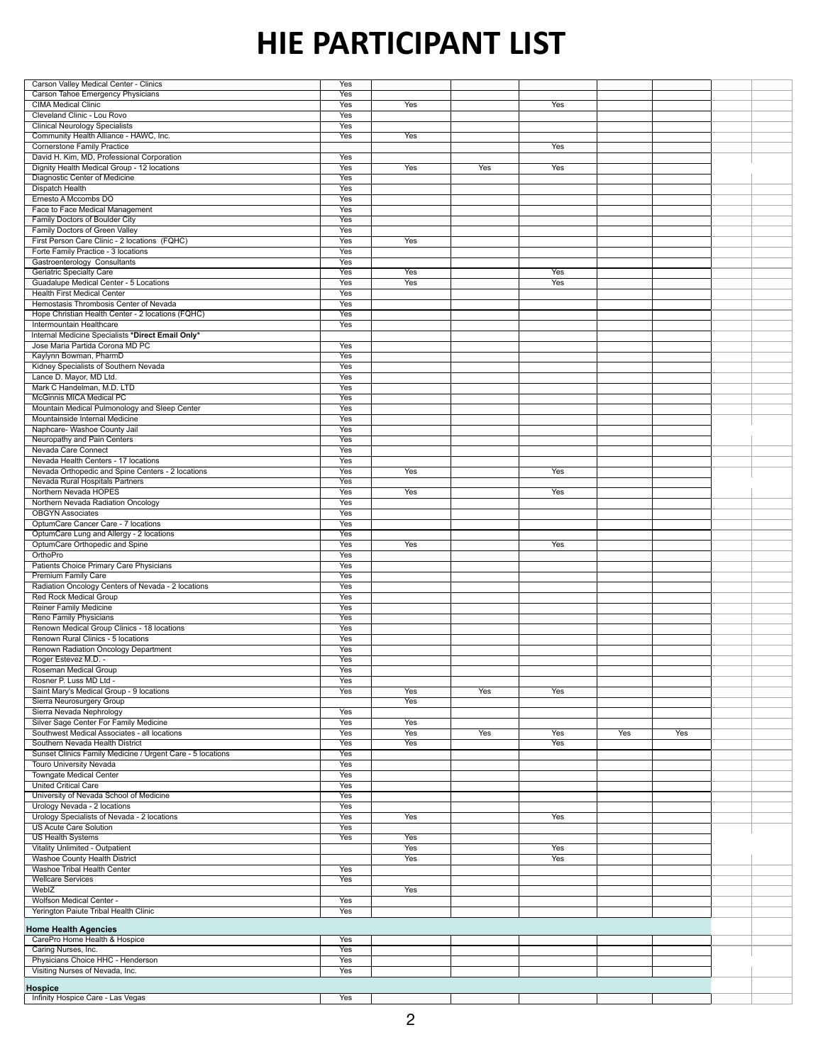| Carson Valley Medical Center - Clinics                     | Yes        |            |     |            |     |            |  |
|------------------------------------------------------------|------------|------------|-----|------------|-----|------------|--|
| <b>Carson Tahoe Emergency Physicians</b>                   | Yes        |            |     |            |     |            |  |
| <b>CIMA Medical Clinic</b>                                 | Yes        | Yes        |     | <b>Yes</b> |     |            |  |
| Cleveland Clinic - Lou Rovo                                | Yes        |            |     |            |     |            |  |
| <b>Clinical Neurology Specialists</b>                      | Yes        |            |     |            |     |            |  |
|                                                            |            |            |     |            |     |            |  |
| Community Health Alliance - HAWC, Inc.                     | Yes        | Yes        |     |            |     |            |  |
| <b>Cornerstone Family Practice</b>                         |            |            |     | <b>Yes</b> |     |            |  |
| David H. Kim, MD, Professional Corporation                 | Yes        |            |     |            |     |            |  |
| Dignity Health Medical Group - 12 locations                | Yes        | <b>Yes</b> | Yes | Yes        |     |            |  |
| <b>Diagnostic Center of Medicine</b>                       | Yes        |            |     |            |     |            |  |
| <b>Dispatch Health</b>                                     | <b>Yes</b> |            |     |            |     |            |  |
| Ernesto A Mccombs DO                                       | Yes        |            |     |            |     |            |  |
| Face to Face Medical Management                            | Yes        |            |     |            |     |            |  |
| Family Doctors of Boulder City                             | Yes        |            |     |            |     |            |  |
| <b>Family Doctors of Green Valley</b>                      | Yes        |            |     |            |     |            |  |
|                                                            |            |            |     |            |     |            |  |
| First Person Care Clinic - 2 locations (FQHC)              | Yes        | Yes        |     |            |     |            |  |
| Forte Family Practice - 3 locations                        | <b>Yes</b> |            |     |            |     |            |  |
| Gastroenterology Consultants                               | Yes        |            |     |            |     |            |  |
| <b>Geriatric Specialty Care</b>                            | Yes        | Yes        |     | Yes        |     |            |  |
| <b>Guadalupe Medical Center - 5 Locations</b>              | Yes        | Yes        |     | <b>Yes</b> |     |            |  |
| <b>Health First Medical Center</b>                         | Yes        |            |     |            |     |            |  |
| Hemostasis Thrombosis Center of Nevada                     | <b>Yes</b> |            |     |            |     |            |  |
| Hope Christian Health Center - 2 locations (FQHC)          | Yes        |            |     |            |     |            |  |
| Intermountain Healthcare                                   | Yes        |            |     |            |     |            |  |
| Internal Medicine Specialists *Direct Email Only*          |            |            |     |            |     |            |  |
| Jose Maria Partida Corona MD PC                            |            |            |     |            |     |            |  |
|                                                            | Yes        |            |     |            |     |            |  |
| Kaylynn Bowman, PharmD                                     | Yes        |            |     |            |     |            |  |
| Kidney Specialists of Southern Nevada                      | Yes        |            |     |            |     |            |  |
| Lance D. Mayor, MD Ltd.                                    | Yes        |            |     |            |     |            |  |
| Mark C Handelman, M.D. LTD                                 | <b>Yes</b> |            |     |            |     |            |  |
| <b>McGinnis MICA Medical PC</b>                            | Yes        |            |     |            |     |            |  |
| Mountain Medical Pulmonology and Sleep Center              | Yes        |            |     |            |     |            |  |
| Mountainside Internal Medicine                             | Yes        |            |     |            |     |            |  |
| Naphcare- Washoe County Jail                               | Yes        |            |     |            |     |            |  |
| Neuropathy and Pain Centers                                | <b>Yes</b> |            |     |            |     |            |  |
| <b>Nevada Care Connect</b>                                 |            |            |     |            |     |            |  |
|                                                            | Yes        |            |     |            |     |            |  |
| Nevada Health Centers - 17 locations                       | <b>Yes</b> |            |     |            |     |            |  |
| Nevada Orthopedic and Spine Centers - 2 locations          | Yes        | Yes        |     | Yes        |     |            |  |
| Nevada Rural Hospitals Partners                            | Yes        |            |     |            |     |            |  |
| Northern Nevada HOPES                                      | Yes        | Yes        |     | Yes        |     |            |  |
| Northern Nevada Radiation Oncology                         | Yes        |            |     |            |     |            |  |
| <b>OBGYN Associates</b>                                    | Yes        |            |     |            |     |            |  |
| OptumCare Cancer Care - 7 locations                        | Yes        |            |     |            |     |            |  |
| OptumCare Lung and Allergy - 2 locations                   | Yes        |            |     |            |     |            |  |
|                                                            |            | <b>Yes</b> |     | <b>Yes</b> |     |            |  |
| OptumCare Orthopedic and Spine                             | Yes        |            |     |            |     |            |  |
| OrthoPro                                                   | Yes        |            |     |            |     |            |  |
|                                                            |            |            |     |            |     |            |  |
| <b>Patients Choice Primary Care Physicians</b>             | <b>Yes</b> |            |     |            |     |            |  |
| <b>Premium Family Care</b>                                 | Yes        |            |     |            |     |            |  |
| Radiation Oncology Centers of Nevada - 2 locations         | Yes        |            |     |            |     |            |  |
| <b>Red Rock Medical Group</b>                              | Yes        |            |     |            |     |            |  |
|                                                            |            |            |     |            |     |            |  |
| <b>Reiner Family Medicine</b>                              | Yes        |            |     |            |     |            |  |
| Reno Family Physicians                                     | Yes        |            |     |            |     |            |  |
| Renown Medical Group Clinics - 18 locations                | Yes        |            |     |            |     |            |  |
| Renown Rural Clinics - 5 locations                         | Yes        |            |     |            |     |            |  |
| Renown Radiation Oncology Department                       | Yes        |            |     |            |     |            |  |
| Roger Estevez M.D. -                                       | <b>Yes</b> |            |     |            |     |            |  |
| <b>Roseman Medical Group</b>                               | Yes        |            |     |            |     |            |  |
| Rosner P. Luss MD Ltd -                                    | Yes        |            |     |            |     |            |  |
| Saint Mary's Medical Group - 9 locations                   | Yes        | Yes        | Yes | Yes        |     |            |  |
| <b>Sierra Neurosurgery Group</b>                           |            | Yes        |     |            |     |            |  |
| Sierra Nevada Nephrology                                   | Yes        |            |     |            |     |            |  |
|                                                            | Yes        | Yes        |     |            |     |            |  |
| <b>Silver Sage Center For Family Medicine</b>              |            |            |     |            |     |            |  |
| Southwest Medical Associates - all locations               | Yes        | Yes        | Yes | Yes        | Yes | <b>Yes</b> |  |
| Southern Nevada Health District                            | <b>Yes</b> | Yes        |     | Yes        |     |            |  |
| Sunset Clinics Family Medicine / Urgent Care - 5 locations | Yes        |            |     |            |     |            |  |
| <b>Touro University Nevada</b>                             | Yes        |            |     |            |     |            |  |
| <b>Towngate Medical Center</b>                             | <b>Yes</b> |            |     |            |     |            |  |
| <b>United Critical Care</b>                                | Yes        |            |     |            |     |            |  |
| University of Nevada School of Medicine                    | Yes        |            |     |            |     |            |  |
| Urology Nevada - 2 locations                               | Yes        |            |     |            |     |            |  |
| Urology Specialists of Nevada - 2 locations                | <b>Yes</b> | Yes        |     | <b>Yes</b> |     |            |  |
| <b>US Acute Care Solution</b>                              | Yes        |            |     |            |     |            |  |
|                                                            |            |            |     |            |     |            |  |
| <b>US Health Systems</b>                                   | Yes        | Yes        |     |            |     |            |  |
| <b>Vitality Unlimited - Outpatient</b>                     |            | Yes        |     | Yes        |     |            |  |
| <b>Washoe County Health District</b>                       |            | Yes        |     | Yes        |     |            |  |
| <b>Washoe Tribal Health Center</b>                         | Yes        |            |     |            |     |            |  |
| <b>Wellcare Services</b>                                   | Yes        |            |     |            |     |            |  |
| WebIZ                                                      |            | Yes        |     |            |     |            |  |
| <b>Wolfson Medical Center -</b>                            | Yes        |            |     |            |     |            |  |
| Yerington Paiute Tribal Health Clinic                      | Yes        |            |     |            |     |            |  |
|                                                            |            |            |     |            |     |            |  |
| <b>Home Health Agencies</b>                                |            |            |     |            |     |            |  |
| CarePro Home Health & Hospice                              | Yes        |            |     |            |     |            |  |
| Caring Nurses, Inc.                                        | Yes        |            |     |            |     |            |  |
| Physicians Choice HHC - Henderson                          | Yes        |            |     |            |     |            |  |
| Visiting Nurses of Nevada, Inc.                            | Yes        |            |     |            |     |            |  |
|                                                            |            |            |     |            |     |            |  |
| <b>Hospice</b><br>Infinity Hospice Care - Las Vegas        | Yes        |            |     |            |     |            |  |

## **HIE PARTICIPANT LIST**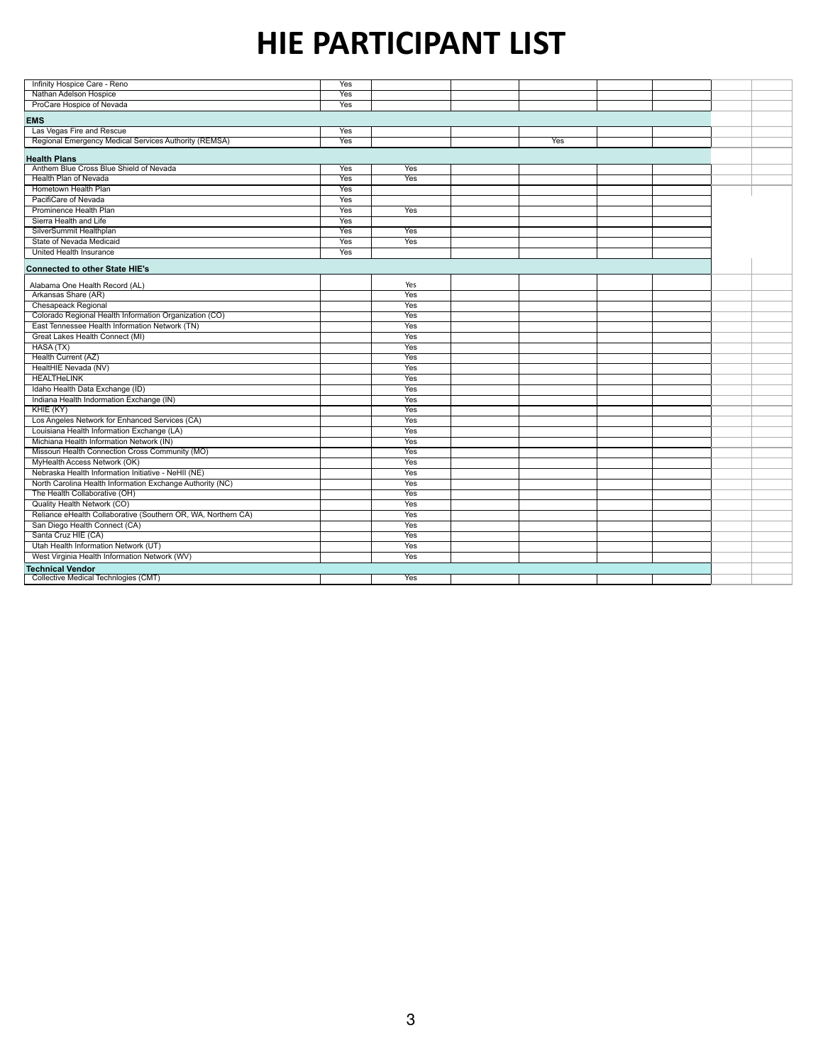| Infinity Hospice Care - Reno                                  | <b>Yes</b> |            |            |  |  |
|---------------------------------------------------------------|------------|------------|------------|--|--|
| Nathan Adelson Hospice                                        | Yes        |            |            |  |  |
|                                                               |            |            |            |  |  |
| ProCare Hospice of Nevada                                     | Yes        |            |            |  |  |
| <b>EMS</b>                                                    |            |            |            |  |  |
| Las Vegas Fire and Rescue                                     | Yes        |            |            |  |  |
| Regional Emergency Medical Services Authority (REMSA)         | Yes        |            | <b>Yes</b> |  |  |
| <b>Health Plans</b>                                           |            |            |            |  |  |
| Anthem Blue Cross Blue Shield of Nevada                       | Yes        | Yes        |            |  |  |
| Health Plan of Nevada                                         | Yes        | Yes        |            |  |  |
| Hometown Health Plan                                          | Yes        |            |            |  |  |
| PacifiCare of Nevada                                          | Yes        |            |            |  |  |
| Prominence Health Plan                                        | Yes        | <b>Yes</b> |            |  |  |
| Sierra Health and Life                                        | <b>Yes</b> |            |            |  |  |
| SilverSummit Healthplan                                       | Yes        | Yes        |            |  |  |
| <b>State of Nevada Medicaid</b>                               | <b>Yes</b> | Yes        |            |  |  |
| United Health Insurance                                       | Yes        |            |            |  |  |
|                                                               |            |            |            |  |  |
| <b>Connected to other State HIE's</b>                         |            |            |            |  |  |
| Alabama One Health Record (AL)                                |            | Yes        |            |  |  |
| Arkansas Share (AR)                                           |            | Yes        |            |  |  |
| <b>Chesapeack Regional</b>                                    |            | Yes        |            |  |  |
| Colorado Regional Health Information Organization (CO)        |            | Yes        |            |  |  |
| East Tennessee Health Information Network (TN)                |            | <b>Yes</b> |            |  |  |
| <b>Great Lakes Health Connect (MI)</b>                        |            | <b>Yes</b> |            |  |  |
| HASA <sub>(TX)</sub>                                          |            | Yes        |            |  |  |
| Health Current (AZ)                                           |            | Yes        |            |  |  |
| HealtHIE Nevada (NV)                                          |            | <b>Yes</b> |            |  |  |
| <b>HEALTHeLINK</b>                                            |            | Yes        |            |  |  |
| Idaho Health Data Exchange (ID)                               |            | Yes        |            |  |  |
| Indiana Health Indormation Exchange (IN)                      |            | Yes        |            |  |  |
| KHIE(KY)                                                      |            | <b>Yes</b> |            |  |  |
| Los Angeles Network for Enhanced Services (CA)                |            | Yes        |            |  |  |
| Louisiana Health Information Exchange (LA)                    |            | <b>Yes</b> |            |  |  |
| Michiana Health Information Network (IN)                      |            | Yes        |            |  |  |
| Missouri Health Connection Cross Community (MO)               |            | Yes        |            |  |  |
| MyHealth Access Network (OK)                                  |            | Yes        |            |  |  |
| Nebraska Health Information Initiative - NeHII (NE)           |            | Yes        |            |  |  |
| North Carolina Health Information Exchange Authority (NC)     |            | Yes        |            |  |  |
| The Health Collaborative (OH)                                 |            | Yes        |            |  |  |
| <b>Quality Health Network (CO)</b>                            |            | Yes        |            |  |  |
| Reliance eHealth Collaborative (Southern OR, WA, Northern CA) |            | Yes        |            |  |  |
| San Diego Health Connect (CA)                                 |            | Yes        |            |  |  |
| Santa Cruz HIE (CA)                                           |            | Yes        |            |  |  |
| Utah Health Information Network (UT)                          |            | Yes        |            |  |  |
| West Virginia Health Information Network (WV)                 |            | Yes        |            |  |  |
| <b>Technical Vendor</b>                                       |            |            |            |  |  |
| <b>Collective Medical Technlogies (CMT)</b>                   |            | Yes        |            |  |  |

## **HIE PARTICIPANT LIST**